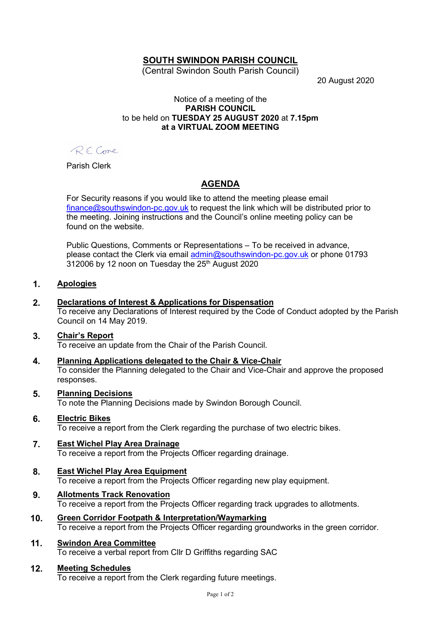## SOUTH SWINDON PARISH COUNCIL

(Central Swindon South Parish Council)

20 August 2020

#### Notice of a meeting of the PARISH COUNCIL to be held on TUESDAY 25 AUGUST 2020 at 7.15pm at a VIRTUAL ZOOM MEETING

RECome

Parish Clerk

# AGENDA

For Security reasons if you would like to attend the meeting please email finance@southswindon-pc.gov.uk to request the link which will be distributed prior to the meeting. Joining instructions and the Council's online meeting policy can be found on the website.

Public Questions, Comments or Representations – To be received in advance, please contact the Clerk via email admin@southswindon-pc.gov.uk or phone 01793 312006 by 12 noon on Tuesday the 25<sup>th</sup> August 2020

#### 1. Apologies

#### 2. Declarations of Interest & Applications for Dispensation

To receive any Declarations of Interest required by the Code of Conduct adopted by the Parish Council on 14 May 2019.

#### 3. Chair's Report

To receive an update from the Chair of the Parish Council.

4. Planning Applications delegated to the Chair & Vice-Chair

To consider the Planning delegated to the Chair and Vice-Chair and approve the proposed responses.

#### 5. Planning Decisions

To note the Planning Decisions made by Swindon Borough Council.

#### 6. Electric Bikes

To receive a report from the Clerk regarding the purchase of two electric bikes.

#### 7. East Wichel Play Area Drainage

To receive a report from the Projects Officer regarding drainage.

#### 8. East Wichel Play Area Equipment

To receive a report from the Projects Officer regarding new play equipment.

### 9. Allotments Track Renovation

To receive a report from the Projects Officer regarding track upgrades to allotments.

### 10. Green Corridor Footpath & Interpretation/Waymarking

To receive a report from the Projects Officer regarding groundworks in the green corridor.

### 11. Swindon Area Committee

To receive a verbal report from Cllr D Griffiths regarding SAC

#### 12. Meeting Schedules

To receive a report from the Clerk regarding future meetings.